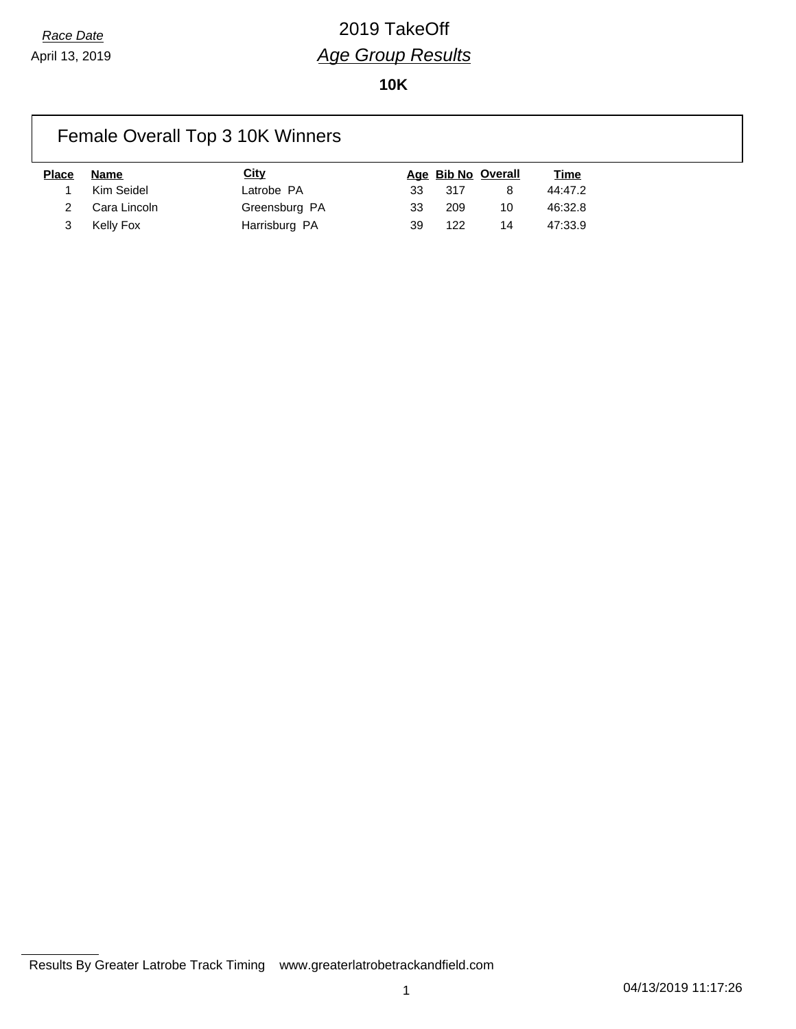# *Race Date* 2019 TakeOff *Age Group Results*

**10K**

### Female Overall Top 3 10K Winners

| <b>Place</b> | Name           | <b>City</b>   |    |       | Age Bib No Overall | <u>Time</u> |
|--------------|----------------|---------------|----|-------|--------------------|-------------|
|              | Kim Seidel     | Latrobe PA    | 33 | - 317 |                    | 44:47.2     |
|              | 2 Cara Lincoln | Greensburg PA | 33 | 209   | 10                 | 46:32.8     |
|              | Kelly Fox      | Harrisburg PA | 39 | 122   | 14                 | 47:33.9     |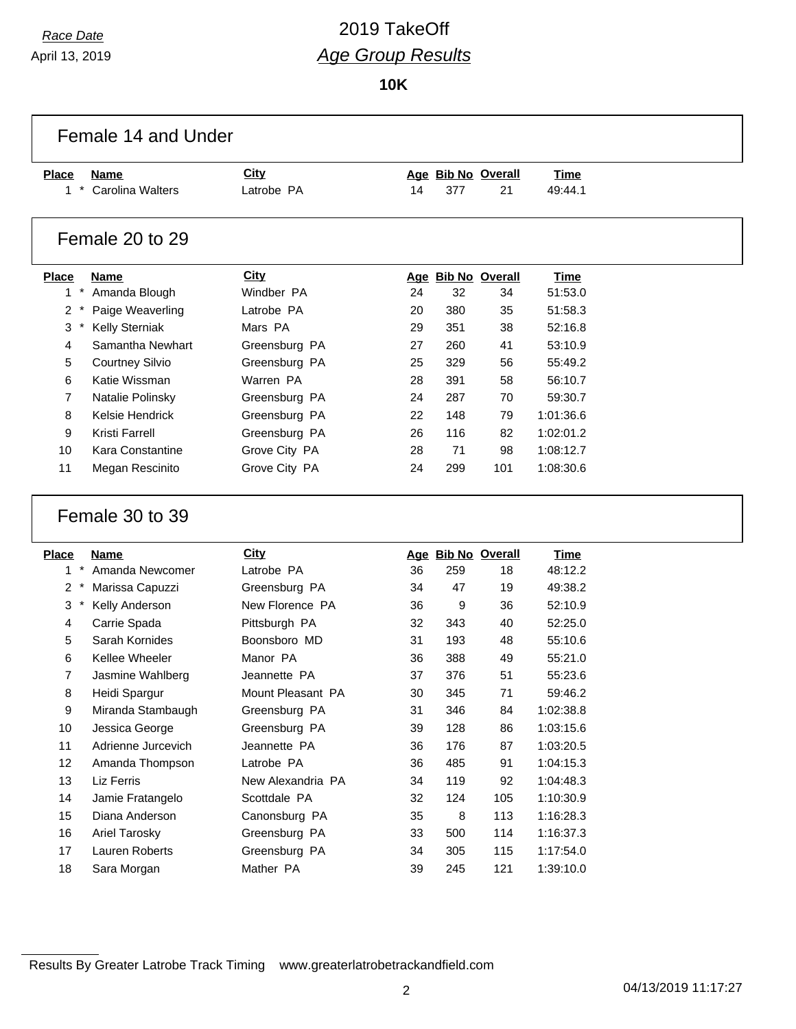April 13, 2019

# *Race Date* 2019 TakeOff *Age Group Results*

**10K**

| Female 14 and Under |                         |                   |    |     |                    |             |
|---------------------|-------------------------|-------------------|----|-----|--------------------|-------------|
| <b>Place</b>        | <b>Name</b>             | <b>City</b>       |    |     | Age Bib No Overall | <b>Time</b> |
| $1$ *               | Carolina Walters        | Latrobe PA        | 14 | 377 | 21                 | 49:44.1     |
| Female 20 to 29     |                         |                   |    |     |                    |             |
| <b>Place</b>        | <b>Name</b>             | City              |    |     | Age Bib No Overall | Time        |
| $1*$                | Amanda Blough           | Windber PA        | 24 | 32  | 34                 | 51:53.0     |
| 2                   | Paige Weaverling        | Latrobe PA        | 20 | 380 | 35                 | 51:58.3     |
| $^{\star}$<br>3     | <b>Kelly Sterniak</b>   | Mars PA           | 29 | 351 | 38                 | 52:16.8     |
| 4                   | Samantha Newhart        | Greensburg PA     | 27 | 260 | 41                 | 53:10.9     |
| 5                   | <b>Courtney Silvio</b>  | Greensburg PA     | 25 | 329 | 56                 | 55:49.2     |
| 6                   | Katie Wissman           | Warren PA         | 28 | 391 | 58                 | 56:10.7     |
| 7                   | Natalie Polinsky        | Greensburg PA     | 24 | 287 | 70                 | 59:30.7     |
| 8                   | Kelsie Hendrick         | Greensburg PA     | 22 | 148 | 79                 | 1:01:36.6   |
| 9                   | <b>Kristi Farrell</b>   | Greensburg PA     | 26 | 116 | 82                 | 1:02:01.2   |
| 10                  | <b>Kara Constantine</b> | Grove City PA     | 28 | 71  | 98                 | 1:08:12.7   |
| 11                  | Megan Rescinito         | Grove City PA     | 24 | 299 | 101                | 1:08:30.6   |
|                     | Female 30 to 39         |                   |    |     |                    |             |
|                     | <b>Name</b>             | <b>City</b>       |    |     | Age Bib No Overall | Time        |
| $1 *$               | Amanda Newcomer         | Latrobe PA        | 36 | 259 | 18                 | 48:12.2     |
| 2                   | Marissa Capuzzi         | Greensburg PA     | 34 | 47  | 19                 | 49:38.2     |
| 3<br>$\ast$         | Kelly Anderson          | New Florence PA   | 36 | 9   | 36                 | 52:10.9     |
| 4                   | Carrie Spada            | Pittsburgh PA     | 32 | 343 | 40                 | 52:25.0     |
| 5                   | Sarah Kornides          | Boonsboro MD      | 31 | 193 | 48                 | 55:10.6     |
| 6                   | Kellee Wheeler          | Manor PA          | 36 | 388 | 49                 | 55:21.0     |
| 7                   | Jasmine Wahlberg        | Jeannette PA      | 37 | 376 | 51                 | 55:23.6     |
| 8                   | Heidi Spargur           | Mount Pleasant PA | 30 | 345 | 71                 | 59:46.2     |
| 9                   | Miranda Stambaugh       | Greensburg PA     | 31 | 346 | 84                 | 1:02:38.8   |
| 10                  | Jessica George          | Greensburg PA     | 39 | 128 | 86                 | 1:03:15.6   |
| 11                  | Adrienne Jurcevich      | Jeannette PA      | 36 | 176 | 87                 | 1:03:20.5   |
| 12                  | Amanda Thompson         | Latrobe PA        | 36 | 485 | 91                 | 1:04:15.3   |
| 13                  | Liz Ferris              | New Alexandria PA | 34 | 119 | 92                 | 1:04:48.3   |
| 14                  | Jamie Fratangelo        | Scottdale PA      | 32 | 124 | 105                | 1:10:30.9   |
| <b>Place</b><br>15  | Diana Anderson          | Canonsburg PA     | 35 | 8   | 113                | 1:16:28.3   |
| 16                  | <b>Ariel Tarosky</b>    | Greensburg PA     | 33 | 500 | 114                | 1:16:37.3   |
| 17                  | Lauren Roberts          | Greensburg PA     | 34 | 305 | 115                | 1:17:54.0   |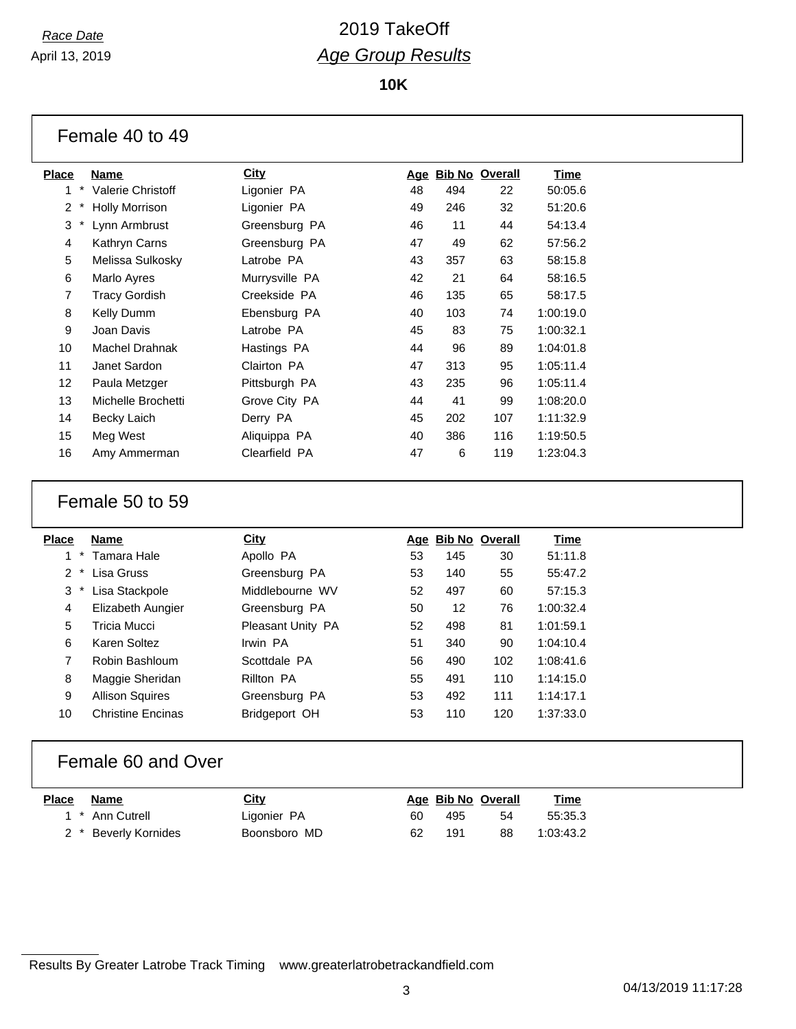April 13, 2019

### *Race Date* 2019 TakeOff *Age Group Results*

**10K**

| Female 40 to 49 |  |  |  |
|-----------------|--|--|--|
|-----------------|--|--|--|

| <b>Place</b>      | Name                     | City           | Age | <b>Bib No Overall</b> |     | <u>Time</u> |
|-------------------|--------------------------|----------------|-----|-----------------------|-----|-------------|
| 1                 | <b>Valerie Christoff</b> | Ligonier PA    | 48  | 494                   | 22  | 50:05.6     |
| 2                 | <b>Holly Morrison</b>    | Ligonier PA    | 49  | 246                   | 32  | 51:20.6     |
| $\ast$<br>3       | Lynn Armbrust            | Greensburg PA  | 46  | 11                    | 44  | 54:13.4     |
| 4                 | Kathryn Carns            | Greensburg PA  | 47  | 49                    | 62  | 57:56.2     |
| 5                 | Melissa Sulkosky         | Latrobe PA     | 43  | 357                   | 63  | 58:15.8     |
| 6                 | Marlo Ayres              | Murrysville PA | 42  | 21                    | 64  | 58:16.5     |
| 7                 | Tracy Gordish            | Creekside PA   | 46  | 135                   | 65  | 58:17.5     |
| 8                 | Kelly Dumm               | Ebensburg PA   | 40  | 103                   | 74  | 1:00:19.0   |
| 9                 | Joan Davis               | Latrobe PA     | 45  | 83                    | 75  | 1:00:32.1   |
| 10                | <b>Machel Drahnak</b>    | Hastings PA    | 44  | 96                    | 89  | 1:04:01.8   |
| 11                | Janet Sardon             | Clairton PA    | 47  | 313                   | 95  | 1:05:11.4   |
| $12 \overline{ }$ | Paula Metzger            | Pittsburgh PA  | 43  | 235                   | 96  | 1:05:11.4   |
| 13                | Michelle Brochetti       | Grove City PA  | 44  | 41                    | 99  | 1:08:20.0   |
| 14                | <b>Becky Laich</b>       | Derry PA       | 45  | 202                   | 107 | 1:11:32.9   |
| 15                | Meg West                 | Aliquippa PA   | 40  | 386                   | 116 | 1:19:50.5   |
| 16                | Amy Ammerman             | Clearfield PA  | 47  | 6                     | 119 | 1:23:04.3   |

#### Female 50 to 59

| Place         | <b>Name</b>              | <b>City</b>       |    | Age Bib No Overall |     | Time      |
|---------------|--------------------------|-------------------|----|--------------------|-----|-----------|
| 1             | Tamara Hale              | Apollo PA         | 53 | 145                | 30  | 51:11.8   |
| $\mathcal{P}$ | Lisa Gruss               | Greensburg PA     | 53 | 140                | 55  | 55:47.2   |
| 3             | Lisa Stackpole           | Middlebourne WV   | 52 | 497                | 60  | 57:15.3   |
| 4             | Elizabeth Aungier        | Greensburg PA     | 50 | 12                 | 76  | 1:00:32.4 |
| 5             | Tricia Mucci             | Pleasant Unity PA | 52 | 498                | 81  | 1:01:59.1 |
| 6             | Karen Soltez             | Irwin PA          | 51 | 340                | 90  | 1:04:10.4 |
| 7             | Robin Bashloum           | Scottdale PA      | 56 | 490                | 102 | 1:08:41.6 |
| 8             | Maggie Sheridan          | Rillton PA        | 55 | 491                | 110 | 1:14:15.0 |
| 9             | <b>Allison Squires</b>   | Greensburg PA     | 53 | 492                | 111 | 1:14:17.1 |
| 10            | <b>Christine Encinas</b> | Bridgeport OH     | 53 | 110                | 120 | 1:37:33.0 |
|               |                          |                   |    |                    |     |           |

#### Female 60 and Over

| <b>Place</b> | Name                 | <u>City</u>  |     | Age Bib No Overall |    | <u>Time</u> |
|--------------|----------------------|--------------|-----|--------------------|----|-------------|
|              | 1 * Ann Cutrell      | Ligonier PA  | 60. | 495                | 54 | 55:35.3     |
|              | 2 * Beverly Kornides | Boonsboro MD | 62  | 191                | 88 | 1:03:43.2   |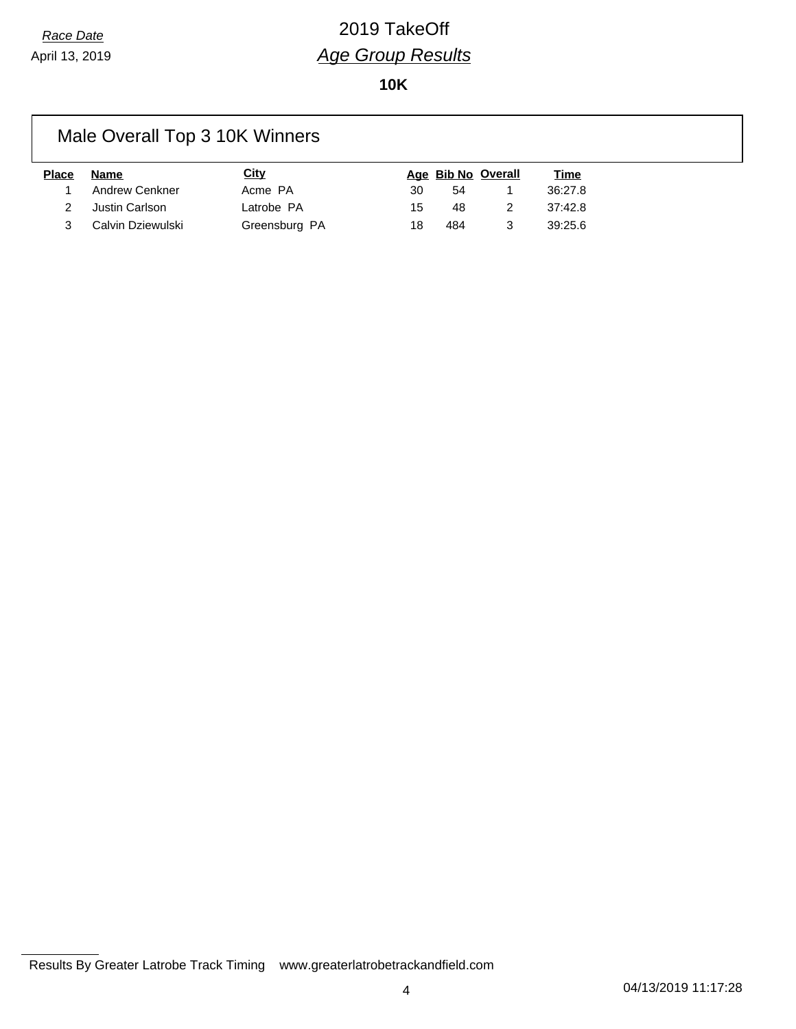## *Race Date* 2019 TakeOff *Age Group Results*

**10K**

### Male Overall Top 3 10K Winners

| Place | Name                | City          |     |     | Age Bib No Overall | <u>Time</u> |
|-------|---------------------|---------------|-----|-----|--------------------|-------------|
|       | 1 Andrew Cenkner    | Acme PA       | 30  | 54  |                    | 36:27.8     |
|       | 2 Justin Carlson    | Latrobe PA    | 15. | 48  | 2                  | 37:42.8     |
|       | 3 Calvin Dziewulski | Greensburg PA | 18  | 484 | 3                  | 39:25.6     |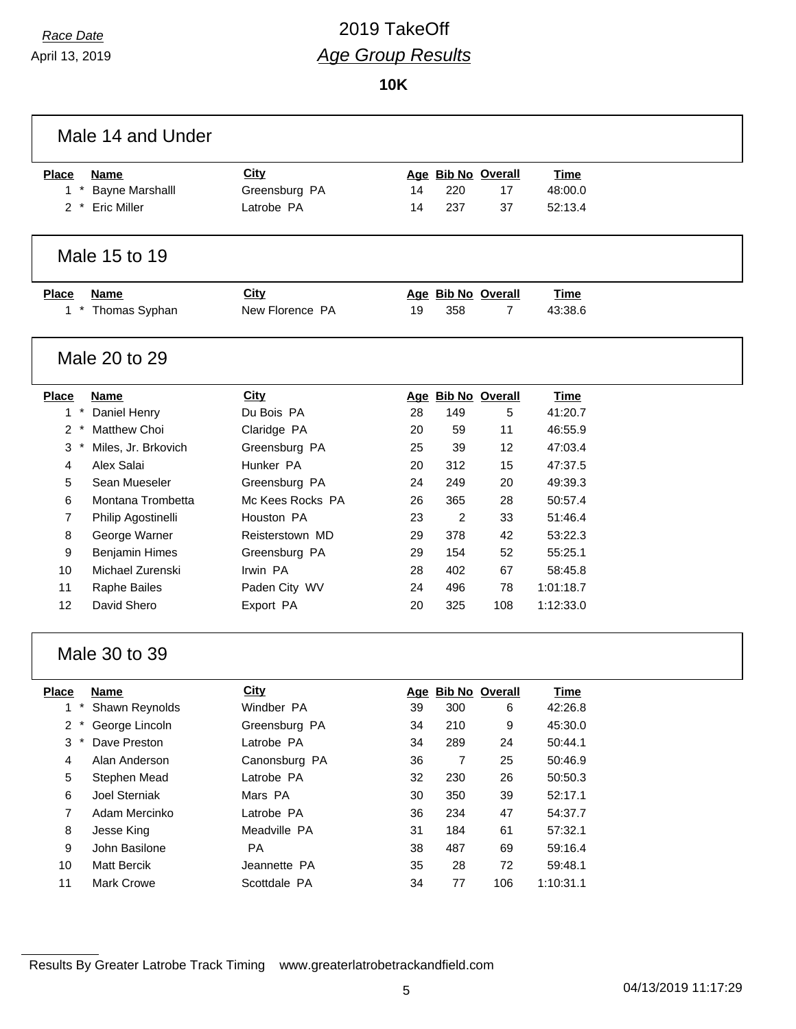April 13, 2019

# *Race Date* 2019 TakeOff *Age Group Results*

**10K**

|                              | Male 14 and Under      |                  |    |                    |                    |             |  |
|------------------------------|------------------------|------------------|----|--------------------|--------------------|-------------|--|
| <b>Place</b>                 | <b>Name</b>            | <b>City</b>      |    |                    | Age Bib No Overall | <b>Time</b> |  |
| $1 *$                        | <b>Bayne Marshalll</b> | Greensburg PA    | 14 | 220                | 17                 | 48:00.0     |  |
| $2 *$                        | <b>Eric Miller</b>     | Latrobe PA       | 14 | 237                | 37                 | 52:13.4     |  |
|                              |                        |                  |    |                    |                    |             |  |
|                              | Male 15 to 19          |                  |    |                    |                    |             |  |
| <b>Place</b>                 | <b>Name</b>            | City             |    |                    | Age Bib No Overall | <b>Time</b> |  |
|                              | 1 * Thomas Syphan      | New Florence PA  | 19 | 358                | 7                  | 43:38.6     |  |
|                              |                        |                  |    |                    |                    |             |  |
|                              | Male 20 to 29          |                  |    |                    |                    |             |  |
| <b>Place</b>                 | <b>Name</b>            | <b>City</b>      |    |                    | Age Bib No Overall | <b>Time</b> |  |
| $\pmb{\ast}$<br>$\mathbf{1}$ | Daniel Henry           | Du Bois PA       | 28 | 149                | 5                  | 41:20.7     |  |
| $\overline{2}$               | Matthew Choi           | Claridge PA      | 20 | 59                 | 11                 | 46:55.9     |  |
| 3                            | Miles, Jr. Brkovich    | Greensburg PA    | 25 | 39                 | 12                 | 47:03.4     |  |
| 4                            | Alex Salai             | Hunker PA        | 20 | 312                | 15                 | 47:37.5     |  |
| 5                            | Sean Mueseler          | Greensburg PA    | 24 | 249                | 20                 | 49:39.3     |  |
| 6                            | Montana Trombetta      | Mc Kees Rocks PA | 26 | 365                | 28                 | 50:57.4     |  |
| 7                            | Philip Agostinelli     | Houston PA       | 23 | 2                  | 33                 | 51:46.4     |  |
| 8                            | George Warner          | Reisterstown MD  | 29 | 378                | 42                 | 53:22.3     |  |
| 9                            | <b>Benjamin Himes</b>  | Greensburg PA    | 29 | 154                | 52                 | 55:25.1     |  |
| 10                           | Michael Zurenski       | Irwin PA         | 28 | 402                | 67                 | 58:45.8     |  |
| 11                           | Raphe Bailes           | Paden City WV    | 24 | 496                | 78                 | 1:01:18.7   |  |
| 12                           | David Shero            | Export PA        | 20 | 325                | 108                | 1:12:33.0   |  |
|                              | Male 30 to 39          |                  |    |                    |                    |             |  |
| <b>Place</b>                 | Name                   | <b>City</b>      |    | Age Bib No Overall |                    | <b>Time</b> |  |
|                              | Shawn Reynolds         | Windber PA       | 39 | 300                | 6                  | 42:26.8     |  |
| $2*$                         | George Lincoln         | Greensburg PA    | 34 | 210                | 9                  | 45:30.0     |  |
| 3                            | Dave Preston           | Latrobe PA       | 34 | 289                | 24                 | 50:44.1     |  |
| 4                            | Alan Anderson          | Canonsburg PA    | 36 | $\overline{7}$     | 25                 | 50:46.9     |  |
| 5                            | Stephen Mead           | Latrobe PA       | 32 | 230                | 26                 | 50:50.3     |  |
| 6                            | Joel Sterniak          | Mars PA          | 30 | 350                | 39                 | 52:17.1     |  |
| 7                            | Adam Mercinko          | Latrobe PA       | 36 | 234                | 47                 | 54:37.7     |  |
| 8                            | Jesse King             | Meadville PA     | 31 | 184                | 61                 | 57:32.1     |  |
| 9                            | John Basilone          | PA               | 38 | 487                | 69                 | 59:16.4     |  |
| 10                           | <b>Matt Bercik</b>     | Jeannette PA     | 35 | 28                 | 72                 | 59:48.1     |  |
| 11                           | Mark Crowe             | Scottdale PA     | 34 | 77                 | 106                | 1:10:31.1   |  |